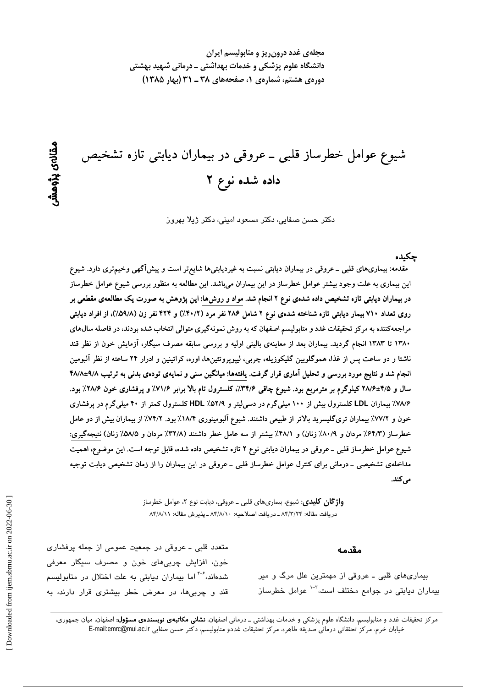مجلهی غدد درون ریز و متابولیسم ایران دانشگاه علوم پزشکی و خدمات بهداشتی ــ درمانی شهید بهشتی دورهی هشتم، شمارهی ۱، صفحههای ۳۸ ـ ۳۱ (بهار ۱۳۸۵)

شیوع عوامل خطرساز قلبی ــ عروقی در بیماران دیابتی تازه تشخیص داده شده نوع ۲

دکتر حسن صفایی، دکتر مسعود امینی، دکتر ژیلا بهروز

حكىدە

مقدمه: بیماریهای قلبی ــ عروقی در بیماران دیابتی نسبت به غیردیابتیها شایع تر است و پیشآگهی وخیم تری دارد. شیوع این بیماری به علت وجود بیشتر عوامل خطرساز در این بیماران میباشد. این مطالعه به منظور بررسی شیوع عوامل خطرساز در بیماران دیابتی تازه تشخیص داده شدهی نوع ۲ انجام شد. مواد و روش۵ا: این پژوهش به صورت یک مطالعهی مقطعی بر روی تعداد ۷۱۰ بیمار دیابتی تازه شناخته شدهی نوع ۲ شامل ۲۸۶ نفر مرد (۴۰/۲٪) و ۴۲۴ نفر زن (۵۹/۸٪)، از افراد دیابتی مراجعهکننده به مرکز تحقیقات غدد و متابولیسم اصفهان که به روش نمونهگیری متوالی انتخاب شده بودند، در فاصله سال@ای ۱۳۸۰ تا ۱۳۸۳ انجام گردید. بیماران بعد از معاینهی بالینی اولیه و بررسی سابقه مصرف سیگار، آزمایش خون از نظر قند ناشتا و دو ساعت پس از غذا، هموگلوبین گلیکوزیله، چربی، لیپوپروتئینها، اوره، کراتینین و ادرار ۲۴ ساعته از نظر آلبومین انجام شد و نتایج مورد بررسی و تحلیل آماری قرار گرفت. یافتهها: میانگین سنی و نمایهی تودهی بدنی به ترتیب ۹/۸±۴۸/۸ سال و ۴/۵±۲۸/۶ کیلوگرم بر مترمربع بود. شیوع چاقی ۳۴/۶٪، کلسترول تام بالا برابر ۷۱/۶٪ و پرفشاری خون ۲۸/۶٪ بود. ۷۸/۶٪ بیماران LDL کلسترول بیش از ۱۰۰ میلیگرم در دسی[یتر و ۵۲/۹٪ HDL کلسترول کمتر از ۴۰ میلیگرم در پرفشاری خون و ٧٧/٢٪ بیماران تریگلیسرید بالاتر از طبیعی داشتند. شیوع آلبومینوری ١٨/۴٪ بود. ٧٤/٢٪ از بیماران بیش از دو عامل خطرساز (۶۴/۳٪ مردان و ۸۰/۹٪ زنان) و ۴۸/۱٪ بیشتر از سه عامل خطر داشتند (۳۲/۸٪ مردان و ۵/۵٪ زنان) نتیجهگیری: شیوع عوامل خطرساز قلبی ــ عروقی در بیماران دیابتی نوع ۲ تازه تشخیص داده شده، قابل توجه است. این موضوع، اهمیت مداخلهی تشخیصی ــ درمانی برای کنترل عوامل خطرساز قلبی ــ عروقی در این بیماران را از زمان تشخیص دیابت توجیه می کند.

> **واژگان کلیدی**: شیوع، بیماریهای قلبی ــ عروقی، دیابت نوع ۲، عوامل خطرساز دريافت مقاله: ٨۴/٣/٢٣ ـ دريافت اصلاحيه: ٨۴/٨/١٠ ـ يذيرش مقاله: ٨۴/٨/١١

> > مقدمه

بیماریهای قلبی ـ عروقی از مهمترین علل مرگ و میر بیماران دیابتی در جوامع مختلف است،<sup>۲-۱</sup> عوامل خطرساز

متعدد قلبی ـ عروقی در جمعیت عمومی از جمله پرفشاری خون، افزایش چربیهای خون و مصرف سیگار معرفی شدهاند،<sup>۴-۶</sup> اما بیماران دیابتی به علت اختلال در متابولی*س*م قند و چربیها، در معرض خطر بیشتری قرار دارند، به

مرکز تحقیقات غدد و متابولیسم، دانشگاه علوم پزشکی و خدمات بهداشتی ــ درمانی اصفهان، **نشانی مکاتبهی نویسندهی مسؤول:** اصفهان، میان جمهوری، خيابان خرم، مركز تحققاتي درماني صديقه طاهره، مركز تحقيقات غددو متابوليسم، دكتر حسن صفايي E-mail:emrc@mui.ac.ir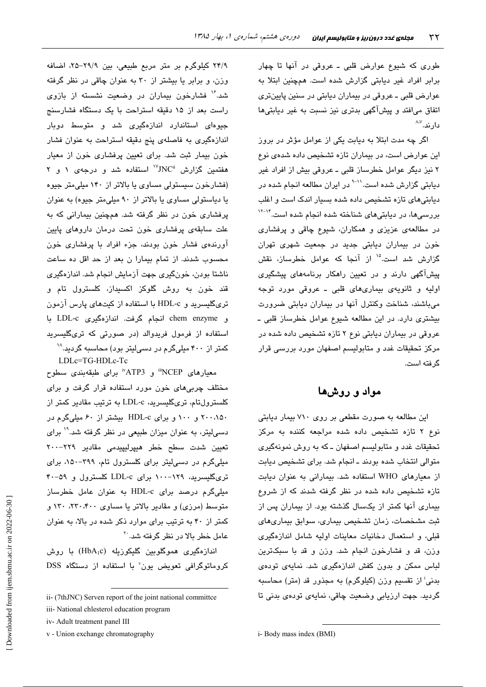طوری که شیوع عوارض قلبی ـ عروقی در آنها تا چهار برابر افراد غیر دیابتی گزارش شده است. همچنین ابتلا به عوارض قلبي ـ عروقي در بيماران ديابتي در سنين پايينتري اتفاق میافتد و پیشآگهی بدتری نیز نسبت به غیر دیابتیها دار ند.^^

اگر چه مدت ابتلا به دیابت یکی از عوامل مؤثر در بروز این عوارض است، در بیماران تازه تشخیص داده شدهی نوع ۲ نیز دیگر عوامل خطرساز قلبی ـ عروقی بیش از افراد غیر دیابتی گزارش شده است.<sup>۱۱-۹</sup> در ایران مطالعه انجام شده در دیابتیهای تازه تشخیص داده شده بسیار اندک است و اغلب بررسیها، در دیابتیهای شناخته شده انجام شده است.<sup>۱۴–۱۲</sup> در مطالعهی عزیزی و همکاران، شیوع چاقی و پرفشاری خون در بیماران دیابتی جدید در جمعیت شهری تهران گزارش شد است.<sup>۱۵</sup> از آنجا که عوامل خطرساز، نقش پیشآگهی دارند و در تعیین راهکار برنامههای پیشگیری اوليه و ثانويهى بيمارى هاى قلبى ـ عروقى مورد توجه می باشند، شناخت وکنترل آنها در بیماران دیابتی ضرورت بیشتری دارد. در این مطالعه شیوع عوامل خطرساز قلبی ـ عروقی در بیماران دیابتی نوع ۲ تازه تشخیص داده شده در مرکز تحقیقات غدد و متابولیسم اصفهان مورد بررسی قرار گر فته است.

مواد و روشها

این مطالعه به صورت مقطعی بر روی ۷۱۰ بیمار دیابتی نوع ۲ تازه تشخیص داده شده مراجعه کننده به مرکز تحقیقات غدد و متابولیسم اصفهان ـ که به روش نمونهگیری متوالی انتخاب شده بودند ـ انجام شد. برای تشخیص دیابت از معیارهای WHO استفاده شد. بیمارانی به عنوان دیابت تازه تشخیص داده شده در نظر گرفته شدند که از شروع بیماری آنها کمتر از یکسال گذشته بود. از بیماران پس از ثبت مشخصات، زمان تشخیص بیماری، سوابق بیماریهای قبلی، و استعمال دخانیات معاینات اولیه شامل اندازهگیری وزن، قد و فشارخون انجام شد. وزن و قد با سبکترین لباس ممکن و بدون کفش اندازهگیری شد. نمایهی تودهی بدنی<sup>:</sup> از تقسیم وزن (کیلوگرم) به مجذور قد (متر) محاسبه گردید. جهت ارزیابی وضعیت چاقی، نمایهی تودهی بدنی تا

٢۴/٩ کیلوگرم بر متر مربع طبیعی، بین ٢٩/٩–٢۵، اضافه وزن، و برابر یا بیشتر از ۳۰ به عنوان چاقی در نظر گرفته شد." فشارخون بیماران در وضعیت نشسته از بازوی راست بعد از ۱۵ دقیقه استراحت با یک دستگاه فشارسنج جیوهای استاندارد اندازهگیری شد و متوسط دوبار اندازهگیری به فاصلهی پنج دقیقه استراحت به عنوان فشار خون بیمار ثبت شد. برای تعیین پرفشاری خون از معیار هفتمین گزارش  $\mathrm{NC}^\mathrm{i}$  استفاده شد و درجهی ۱ و ۲ (فشارخون سیستولی مساوی یا بالاتر از ۱۴۰ میلی متر جیوه یا دیاستولی مساوی یا بالاتر از ۹۰ میلی متر جیوه) به عنوان پرفشاری خون در نظر گرفته شد. همچنین بیمارانی که به علت سابقهی پرفشاری خون تحت درمان داروهای پایین آورندهی فشار خون بودند، جزء افراد با پرفشاری خون محسوب شدند. از تمام بیمارا ن بعد از حد اقل ده ساعت ناشتا بودن، خونگیری جهت آزمایش انجام شد. اندازهگیری قند خون به روش گلوکز اکسیداز، کلسترول تام و تریگلیسرید و HDL-c با استفاده از کیتهای پارس آزمون و chem enzyme انجام گرفت. اندازهگیری LDL-c با استفاده از فرمول فریدوالد (در صورتی که تریگلیسرید کمتر از ۴۰۰ میلیگرم در دسی لیتر بود) محاسبه گردید.^`

LDLc=TG-HDLc-Tc

معیارهای NCEP" و ATP3" برای طبقهبندی سطوح مختلف چربی های خون مورد استفاده قرار گرفت و برای کلسترولتام، تریگلیسرید، LDL-c به ترتیب مقادیر کمتر از ۲۰۰،۱۵۰ و ۱۰۰ و برای HDL-c بیشتر از ۶۰ میلی گرم در دسهایتر، به عنوان میزان طبیعی در نظر گرفته شد.<sup>۱۹</sup> برای تعیین شدت سطح خطر هیپرلیپیدمی مقادیر ۲۲۹–۲۰۰ میلیگرم در دسیلیتر برای کلسترول تام، ۳۹۹-۱۵۰، برای تریگلیسرید، ۱۲۹-۱۰۰ برای LDL-c کلسترول و ۵۹-۴۰ میلیگرم درصد برای HDL-c به عنوان عامل خطرساز متوسط (مرزی) و مقادیر بالاتر یا مساوی ۲۳۰،۴۰۰، ۱۳۰ و کمتر از ۴۰ به ترتیب برای موارد ذکر شده در بالا، به عنوان عامل خطر بالا در نظر گرفته شد.<sup>۲۰</sup>

اندازەگىرى ھموگلوبىن گليكوزىلە (HbA<sub>l</sub>c) با روش کروماتوگرافی تعویض یون<sup>7</sup> با استفاده از دستگاه DSS

ii- (7thJNC) Serven report of the joint national committee

iii- National chlesterol education program

iv- Adult treatment panel III

v - Union exchange chromatography

i-Body mass index (BMI)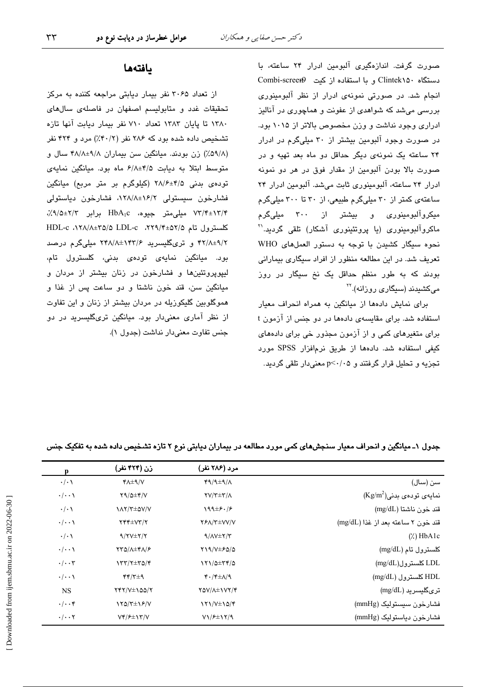صورت گرفت. اندازهگیری آلبومین ادرار ۲۴ ساعته، با دستگاه Clintek۱۵۰ و با استفاده از کیت Combi-screer انجام شد. در صورتی نمونهی ادرار از نظر آلبومینوری بررسی میشد که شواهدی از عفونت و هماچوری در آنالیز ادراری وجود نداشت و وزن مخصوص بالاتر از ۱۰۱۵ بود. در صورت وجود آلبومین بیشتر از ۳۰ میلیگرم در ادرار ۲۴ ساعته یک نمونهی دیگر حداقل دو ماه بعد تهیه و در صورت بالا بودن آلبومین از مقدار فوق در هر دو نمونه ادرار ٢۴ ساعته، آلبومینوری ثابت می شد. آلبومین ادرار ٢۴ ساعتهی کمتر از ۳۰ میلیگرم طبیعی، از ۳۰ تا ۳۰۰ میلیگرم میکروآلبومینوری و بیشتر از ۳۰۰ میلیگرم ماکروآلبومینوری (یا پروتئینوری آشکار) تلقی گردید.'' نحوه سيگار كشيدن با توجه به دستور العملهاى WHO تعریف شد. در این مطالعه منظور از افراد سیگاری بیمارانی بودند که به طور منظم حداقل یک نخ سیگار در روز میکشیدند (سیگار*ی* روزانه).<sup>۲۲</sup>

برای نمایش دادهها از میانگین به همراه انحراف معیار استفاده شد. برای مقایسهی دادهها در دو چنس از آزمون t برای متغیرهای کمی و از آزمون مجذور خی برای دادههای كيفى استفاده شد. دادهها از طريق نرمافزار SPSS مورد تجزیه و تحلیل قرار گرفتند و p<٠/٠۵ معنیدار تلقی گردید.

## بافتهها

از تعداد ۳۰۶۵ نفر بیمار دیابتی مراجعه کننده به مرکز تحقیقات غدد و متابولیسم اصفهان در فاصلهی سالهای ١٣٨٠ تا پايان ١٣٨٣ تعداد ٧١٠ نفر بيمار ديابت آنها تازه تشخیص داده شده بود که ۲۸۶ نفر (۴۰/۲٪) مرد و ۴۲۴ نفر (۵۹/۸٪) زن بودند. میانگین سن بیماران ۴۸/۸±۹/۸ سال و متوسط ابتلا به دیابت ۶/۸±۴/۵ ماه بود. میانگین نمایهی توده یبدنی ۴/۵±۲۸/۶ (کیلوگرم بر متر مربع) میانگین فشارخون سیستولی ۰۱۲۸/۸±۱۶/۲ فشارخون دیاستولی ۷۳/۴±۱۳/۴ میلی متر جیوه، HbA<sub>1</sub>c برابر ۲/۳±۰٫۹/۵٪، کلسترول تام ۲۵/۸±۲۹/۴+۵۲، HDL-c ۰۱۲۸/۸±۲۵/۵ LDL-c ۴۲/۸±۹/۲ و تریگلیسرید ۲۴۸/۸±۱۴۳/۶ میلیگرم درصد بود. میانگین نمایهی تودهی بدنی، کلسترول تام، لیپویروتئینها و فشارخون در زنان بیشتر از مردان و ميانگين سن، قند خون ناشتا و دو ساعت پس از غذا و هموگلوبین گلیکوزیله در مردان بیشتر از زنان و این تفاوت از نظر آماری معنیدار بود. میانگین تریگلیسرید در دو جنس تفاوت معنى دار نداشت (جدول ١).

|                                    | مرد (۲۸۶ نفر)                                          | زن (۴۲۴ نفر)            | p                    |
|------------------------------------|--------------------------------------------------------|-------------------------|----------------------|
| سن (سال)                           | $49/4 \pm 9/4$                                         | $Y\Lambda \pm \gamma/V$ | $\cdot/\cdot$ \      |
| $(Kg/m^2)$ ، نمایهی تودهی بدنی     | $\Upsilon V/\Upsilon \pm \Upsilon/\Lambda$             | $Y9/\Delta \pm Y/V$     | $\cdot/\cdot\cdot$   |
| قند خون ناشتا (mg/dL)              | $199\pm 5.75$                                          | <b>IAY/T±QV/V</b>       | $\cdot/\cdot$        |
| قند خون ٢ ساعته بعد از غذا (mg/dL) | <b>YFA/Y±VV/V</b>                                      | $YYY \pm VY/Y$          | $\cdot/\cdot\cdot$   |
| $(\lambda)$ HbA1c                  | $9/\Lambda V \pm 7/\Upsilon$                           | $9/7V \pm 7/7$          | $\cdot/\cdot \wedge$ |
| كلسترول تام (mg/dL)                | $Y19/V \pm 50/\Omega$                                  | <b>TTQ/A±FA/۶</b>       | $\cdot/\cdot\cdot$   |
| LDL کلسترول(mg/dL)                 | $171/0 \pm 77/0$                                       | $\gamma$                | $\cdot/\cdot\cdot$ ۳ |
| HDL کلسترول (mg/dL)                | $\mathfrak{r}\cdot\mathfrak{r}\pm\Lambda/\mathfrak{q}$ | $YY/Y\pm 9$             | $\cdot/\cdot\cdot$   |
| ترىگليسريد (mg/dL)                 | YQV/A±\VY/F                                            | $YYY/Y\pm 100/Y$        | <b>NS</b>            |
| فشارخون سيستوليک (mmHg)            | $\frac{1}{\sqrt{2}}$                                   | $YQ/T\pm VP/V$          | $\cdot/\cdot\cdot$ ۴ |
| فشارخون دياستوليک (mmHg)           | $V1/F\pm17/9$                                          | $Vf/F\pm Vf/V$          | $\cdot/\cdot\cdot$ ۲ |

جدول ۱ـ میانگین و انحراف معیار سنجشهای کمی مورد مطالعه در بیماران دیابتی نوع ۲ تازه تشخیص داده شده به تفکیک جنس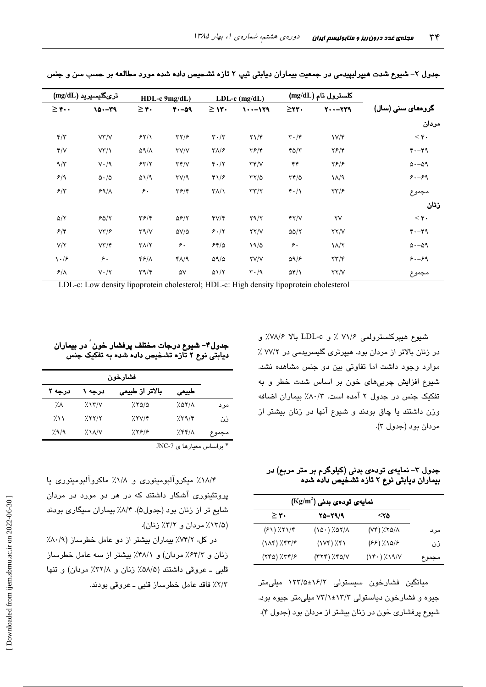|                                | $(mg/dL)$ ترىگليسيريد    |                                   | HDL-c 9mg/dL)             |                                 | $LDL-c$ (mg/dL)               |                                 | $(mg/dL)$ کلسترول تام  |                     |
|--------------------------------|--------------------------|-----------------------------------|---------------------------|---------------------------------|-------------------------------|---------------------------------|------------------------|---------------------|
| $\geq$ ۴                       | $10 - 79$                | >۴۰ ≤                             | $4. -09$                  | $\geq$ 13.                      | 1011-01                       | $\geq$ YY $\cdot$               | $Y - -YY9$             | گروههای سنی (سال)   |
|                                |                          |                                   |                           |                                 |                               |                                 |                        | مردان               |
| $\mathbf{f}/\mathbf{f}$        | VY/Y                     | 55/1                              | $\tau\gamma/\epsilon$     | $\mathbf{r} \cdot / \mathbf{r}$ | $\Upsilon \setminus \Upsilon$ | $\mathbf{r} \cdot \mathbf{r}$   | $V/\mathcal{F}$        | $<$ ۴.              |
| Y/V                            | VT/1                     | $\Delta$ 9/ $\Lambda$             | $\Upsilon V/V$            | $\mathbf{Y}\wedge\mathbf{P}$    | $\mathbf{Y}$ $\mathbf{F}$     | YQ/Y                            | $Y$ $5$ / $Y$          | $4. -49$            |
| $9/\tau$                       | $V \cdot / 9$            | 55/7                              | $\tau\tau/\nu$            | $\mathbf{r} \cdot / \mathbf{r}$ | $\tau \tau / \nu$             | ۴۴                              | Y5/5                   | $\Delta - \Delta$ 9 |
| 5/9                            | $\Delta \cdot / \Delta$  | $\Delta$ 1/9                      | $\Upsilon V / 9$          | ۴۱/۶                            | $\tau\tau/\vartriangle$       | $\tau$ ۴/۵                      | $\lambda/\gamma$       | $8. - 89$           |
| $5/\tau$                       | $59/\lambda$             | ۶٠                                | $\mathbf{Y}$ $\mathbf{F}$ | $\Upsilon\Lambda/\Lambda$       | $\tau\tau/\tau$               | $\mathbf{r} \cdot / \mathbf{v}$ | $\tau\tau/\epsilon$    | مجموع               |
|                                |                          |                                   |                           |                                 |                               |                                 |                        | زنان                |
| $\Delta/\Upsilon$              | 50/7                     | $\mathbf{Y}$ $\mathbf{F}$         | $\Delta$ ۶/۲              | $fV/\tau$                       | $Y \frac{1}{Y}$               | YY/Y                            | $\mathsf{Y}\mathsf{V}$ | $<$ ۴.              |
| 5/5                            | $V\mathbf{Y}/\mathbf{P}$ | $\Upsilon \sim \Upsilon$          | $\Delta V/\Delta$         | 5.17                            | YY/Y                          | $\Delta \Delta / \Upsilon$      | YY/Y                   | $4. -49$            |
| $V/\Upsilon$                   | $V\Upsilon/\Upsilon$     | $\Upsilon\Lambda/\Upsilon$        | ۶۰                        | 54/0                            | 19/2                          | ۶۰                              | $\lambda/\lambda$      | $\Delta - \Delta$ 9 |
| $\backslash \cdot \mathcal{F}$ | $\epsilon$ .             | ۴۶/۸                              | ۴۸/۹                      | $\Delta \frac{1}{\Delta}$       | <b>YV/V</b>                   | $\Delta$ 9/ $\epsilon$          | $\tau\tau/\tau$        | $8. - 89$           |
| $8/\lambda$                    | $V \cdot / \Upsilon$     | $\mathbf{r}\mathbf{a}/\mathbf{r}$ | ۵۷                        | $\Delta \frac{1}{1}$            | $\mathbf{r} \cdot \mathbf{a}$ | $\Delta f/\lambda$              | $\Upsilon\Upsilon/V$   | مجموع               |

جدول ۲– شپوع شدت هیپرلیپیدمی در جمعیت بیماران دیابتی تیپ ۲ تازه تشحیص داده شده مورد مطالعه بر حسب سن و جنس

LDL-c: Low density lipoprotein cholesterol; HDL-c: High density lipoprotein cholesterol

شىيوع ھىيپركلسىترولمى ٧١/۶ ٪ و LDL-c بالا ٧٨/۶٪ و در زنان بالاتر از مردان بود. هیپرتری گلیسریدمی در ۷۷/۲٪ موارد وجود داشت اما تفاوتی بین دو جنس مشاهده نشد. شيوع افزايش چربي،هاي خون بر اساس شدت خطر و به تفکیک جنس در جدول ٢ آمده است. ٨٠/٣٪ بیماران اضافه وزن داشتند یا چاق بودند و شیوع آنها در زنان بیشتر از مردان بود (جدول ۳).

جدول ۳– نمایهی تودهی بدنی (کیلوگرم بر متر مربع) در<br>بیماران دیابتی نوع ۲ تازه تشـخیص داده شده

| $(\text{Kg/m}^2)$ نمایهی تودهی بدنی |                     |                                          |       |  |
|-------------------------------------|---------------------|------------------------------------------|-------|--|
| $\geq r$ .                          | 25-29/9             | 57>                                      |       |  |
| $(51)$ $/51/5$                      | $(10.7)$ % $(10.7)$ | $(Y^{\ast})$ $X^{\ast}$ $\Delta/\Lambda$ | مرد   |  |
| $(1\Lambda f)/f\tau/\tau$           | $(1Vf)$ $\chi$ $f1$ | $(FF)(\lambda)$                          | ذن    |  |
| $(Yf0)$ $Xf(f)$                     | $(TYY)$ / $YQ/Y$    | $(Y^{\epsilon})$ / $X^{\gamma}$          | مجموع |  |

میانگین فشارخون سیستولی ۱۶/۲±۱۲۳/۵ میلی متر جیوه و فشارخون دیاستولی ۱۳/۳±۷۳/۱ میلی متر جیوه بود. شیوع پرفشاری خون در زنان بیشتر از مردان بود (جدول ۴).

جدول۴– شیوع درجات مختلف پرفشار خون ٌ در بیماران دیابتی نوع ۲ تازه تشخیص داده شده به تفکیک جنس

| درجه ۲    | درجه ۱                        | بالاتر از طبیعی | طبيعى  |       |  |
|-----------|-------------------------------|-----------------|--------|-------|--|
| ۰.Λ       | 7.15/1                        | 7.800           | 2.07/1 | مر د  |  |
| $\lambda$ | 75777                         | 7.7V/f          | 7.59/5 | ذن    |  |
| 7.9/9     | $\lambda$ $\lambda$ $\lambda$ | 7.598           | 255/2  | مجموع |  |
|           | * یا اساس معیارها ی JNC-7     |                 |        |       |  |

۱۸/۴٪ میکروآلبومینوری و ۱/۸٪ ماکروآلبومینوری یا پروتئینوری آشکار داشتند که در هر دو مورد در مردان شایع تر از زنان بود (جدول۵). ۸/۴٪ بیماران سیگاری بودند (١٣/٥٪ مردان و ٣/٢٪ زنان).

در کل، ۷۴/۲٪ بیماران بیشتر از دو عامل خطرساز (۸۰/۹٪ زنان و ۶۴/۲٪ مردان) و ۴۸/۱٪ بیشتر از سه عامل خطرساز قلبي ـ عروقي داشتند (۵۸/۵٪ زنان و ۳۲/۸٪ مردان) و تنها ٢/٣٪ فاقد عامل خطرساز قلبي ــ عروقي بودند.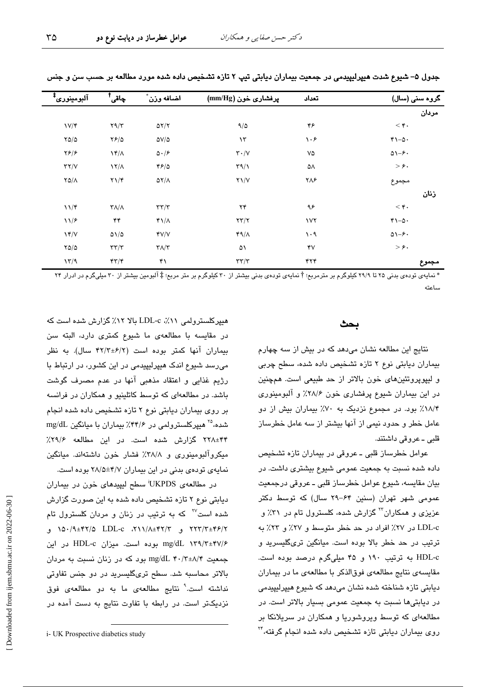| آلبومينوري <sup>‡</sup> | ڄاقي <sup>†</sup>                       | اضافه وزن                                    | پرفشاری خون (mm/Hg)          | تعداد      | گروہ سنی (سال)           |
|-------------------------|-----------------------------------------|----------------------------------------------|------------------------------|------------|--------------------------|
|                         |                                         |                                              |                              |            | مردان                    |
| $V/\mathfrak{r}$        | Y9/Y                                    | $\Delta Y/Y$                                 | 9/0                          | ۴۶         | $<$ ۴.                   |
| $Y\Delta/\Delta$        | $YF/\Delta$                             | $\Delta V/\Delta$                            | $\mathcal{N}$                | ۱۰۶        | $r_{1-\Delta}$ .         |
| $\frac{1}{2}$           | $\frac{1}{\pi}$                         | $\Delta \cdot / \epsilon$                    | $\mathbf{r}\cdot/\mathbf{v}$ | ٧۵         | $\Delta - 5$             |
| $\tau\tau/\nu$          | $\frac{1}{\sqrt{2}}$                    | 45/0                                         | $\Gamma$ 9/1                 | ۵۸         | $>\epsilon$ .            |
| $Y\Delta/\Lambda$       | $\Upsilon \Upsilon$                     | $\Delta \Upsilon/\Lambda$                    | $Y\setminus V$               | ۲۸۶        | مجموع                    |
|                         |                                         |                                              |                              |            | زنان                     |
| $11/\mathfrak{r}$       | $\Upsilon\Lambda/\Lambda$               | $\tau\tau/\tau$                              | ۲۴                           | ۹۶         | $<$ ۴.                   |
| 11/F                    | ۴۴                                      | $Y\backslash A$                              | $\tau\tau/\tau$              | $\sqrt{1}$ | $r_{1-\Delta}$ .         |
| YY/V                    | $\Delta\cal{N}/\Delta$                  | YV/V                                         | $49/\lambda$                 | $\cdot$ 9  | $\Delta$ 1- $\epsilon$ . |
| $Y\Delta/\Delta$        | $\tau\tau/\tau$                         | $\mathbf{\Upsilon}\Lambda/\mathbf{\Upsilon}$ | ۵۱                           | ۴V         | $>\epsilon$ .            |
| 17/9                    | $\mathfrak{r}\mathfrak{r}/\mathfrak{r}$ | ۴۱                                           | $\tau\tau/\tau$              | ۴۲۴        | مجموع                    |

جدول ۵– شيوع شدت هيپرليپيدمي در جمعيت بيماران ديابتي تيپ ۲ تازه تشخيص داده شده مورد مطالعه بر حسب سن و جنس

\* نمایهی تودهی بدنی ۲۵ تا ۲۹/۹ کیلوگرم بر مترمربع؛ † نمایهی تودهی بدنی بیشتر از ۳۰ کیلوگرم بر متر مربع؛ ‡ آلبومین بیشتر از ۳۰ میلیگرم در ادرار ۲۴ ساعته

#### بحث

نتایج این مطالعه نشان میدهد که در بیش از سه چهارم بیماران دیابتی نوع ۲ تازه تشخیص داده شده، سطح چربی و ليپوپروتئينهاى خون بالاتر از حد طبيعى است. همچنين در این بیماران شیوع پرفشاری خون ۲۸/۶٪ و آلبومینوری ۱۸/۴٪ بود. در مجموع نزدیک به ۷۰٪ بیماران بیش از دو عامل خطر و حدود نیمی از آنها بیشتر از سه عامل خطرساز قلبي ـ عروقي داشتند.

عوامل خطرساز قلبی ـ عروقی در بیماران تازه تشخیص داده شده نسبت به جمعیت عمومی شیوع بیشتری داشت. در بیان مقایسه، شیوع عوامل خطرساز قلبی ـ عروقی درجمعیت عمومی شهر تهران (سنین ۶۴–۲۹ سال) که توسط دکتر عزیزی و همکاران<sup>۲۲</sup> گزارش شده، کلسترول تام در ۳۱٪ و LDL-c در ٢٧٪ افراد در حد خطر متوسط و ٢٧٪ و ٢٣٪ به ترتیب در حد خطر بالا بوده است. میانگین تریگلیسرید و HDL-c به ترتیب ۱۹۰ و ۴۵ میلیگرم درصد بوده است. مقایسه ی نتایج مطالعهی فوقالذکر با مطالعهی ما در بیماران دیابتی تازه شناخته شده نشان میدهد که شیوع هیپرلیپیدمی در دیابتی ها نسبت به جمعیت عمومی بسیار بالاتر است. در مطالعهای که توسط ویروشوریا و همکاران در سریلانکا بر روی بیماران دیابتی تازه تشخیص داده شده انجام گرفته،<sup>۲۴</sup>

هیپرکلسترولمی ۱۱٪، LDL-c بالا ۱۲٪ گزارش شده است که در مقایسه با مطالعهی ما شیوع کمتری دارد، البته سن بیماران آنها کمتر بوده است (۴۲/۲±۶/۲ سال). به نظر میرسد شیوع اندک هیپرلیپیدمی در این کشور، در ارتباط با رژيم غذايي و اعتقاد مذهبي آنها در عدم مصرف گوشت باشد. در مطالعهای که توسط کاتلینیو و همکاران در فرانسه بر روی بیماران دیابتی نوع ۲ تازه تشخیص داده شده انجام شده، <sup>۲۵</sup> هیپرکلسترولمی در ۴۴/۶٪ بیماران با میانگین mg/dL ۴۴±۲۲۸ گزارش شده است. در این مطالعه ۲۹/۶٪ میکروآلبومینوری و ۳۸/۸٪ فشار خون داشتهاند. میانگین نمایهی تودهی بدنی در این بیماران ۲۸/۵±۲۸/۵ بوده است.

در مطالعهی UKPDS سطح لیپیدهای خون در بیماران دیابتی نوع ۲ تازه تشخیص داده شده به این صورت گزارش شده است<sup>۲۷</sup> که به ترتیب در زنان و مردان کلسترول تام ۲۲۳/۳±۴۶/۲ و ۲/۱۲/۸±۴۲/۵ LDL-c ۲۱۱/۸±۴۲/۲ و mg/dL ۱۳۹/۳±۴۷/۶ بوده است. میزان HDL-c در این جمعیت mg/dL ۴۰/۳±۸/۴ دود که در زنان نسبت به مردان بالاتر محاسبه شد. سطح تریگلیسرید در دو جنس تفاوتی نداشته است.<sup>۹</sup> نتایج مطالعهی ما به دو مطالعهی فوق نزدیکتر است. در رابطه یا تفاوت نتایج به دست آمده در

i- UK Prospective diabetics study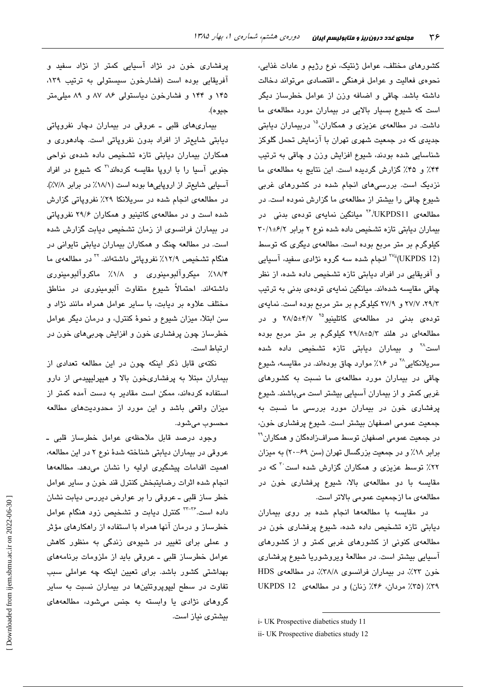کشورهای مختلف، عوامل ژنتیک، نوع رژیم و عادات غذایی، نحوهی فعالیت و عوامل فرهنگی ـ اقتصادی میتواند دخالت داشته باشد. چاقی و اضافه وزن از عوامل خطرساز دیگر است که شیوع بسیار بالایی در بیماران مورد مطالعهی ما داشت. در مطالعهی عزیزی و همکاران،<sup>۱۵</sup> دربیماران دیابتی جدید*ی* که در جمعیت شهری تهران با ازمایش تحمل گلوکز شناسایی شده بودند، شیوع افزایش وزن و چاقی به ترتیب ۴۴٪ و ۴۵٪ گزارش گردیده است. این نتایج به مطالعهی ما نزدیک است. بررسیهای انجام شده در کشورهای غربی شیوع چاقی را بیشتر از مطالعهی ما گزارش نموده است. در مطالعهی UKPDS11، <sup>۲۶</sup> میانگین نمایهی تودهی بدنی در بیماران دیابتی تازه تشخیص داده شده نوع ۲ برابر ۰/۱±۶/۲ کیلوگرم بر متر مربع بوده است. مطالعهی دیگری که توسط <sup>۷۷</sup>ï (UKPDS 12) انجام شده سه گروه نژادی سفید، آسیایی و افریقایی در افراد دیابتی تازه تشخیص داده شده، از نظر چاقی مقایسه شدهاند. میانگین نمایهی تودهی بدنی به ترتیب ۲۹/۳، ۲۷/۷ و ۲۷/۹ کیلوگرم بر متر مربع بوده است. نمایهی تودهی بدنی در مطالعهی کاتلینیو<sup>۲۵ ۲</sup>۸/۵±۴/۷ و در مطالعهای در هلند ۵/۲±۲۹/۸ کیلوگرم بر متر مربع بوده است<sup>۳۸</sup> و بیماران دیابتی تازه تشخیص داده شده سریلانکایی<sup>۲۸</sup> در ۱۶٪ موارد چاق بودهاند. در مقایسه، شیوع چاقی در بیماران مورد مطالعهی ما نسبت به کشورهای غربی کمتر و از بیماران اسیایی بیشتر است میباشند. شیوع پرفشاری خون در بیماران مورد بررسی ما نسبت به جمعیت عمومی اصفهان بیشتر است. شیوع پرفشاری خون، در جمعیت عمومی اصفهان توسط صراف(ادهگان و همکاران<sup>۲۹</sup> برابر ۱۸٪ و در جمعیت بزرگسال تهران (سن ۶۹–۲۰) به میزان ۲۲٪ توسط عزیزی و همکاران گزارش شده است<sup>۲۰</sup> که در مقایسه با دو مطالعهی بالا، شیوع پرفشاری خون در مطالعهی ما ازجمعیت عمومی بالاتر است.

در مقایسه با مطالعهها انجام شده بر روی بیماران دیابتی تازه تشخیص داده شده، شیوع پرفشاری خون در مطالعهی کنونی از کشورهای غربی کمتر و از کشورهای اسیایی بیشتر است. در مطالعهٔ ویروشوریا شیوع پرفشاری خون ۲۳٪، در بیماران فرانسوی ۳۸/۸٪، در مطالعهی HDS ۳۹٪ (۳۵٪ مردان، ۴۶٪ زنان) و در مطالعهی UKPDS 12

پرفشاری خون در نژاد اسیایی کمتر از نژاد سفید و افریقایی بوده است (فشارخون سیستولی به ترتیب ۱۳۹، ۱۴۵ و ۱۴۴ و فشارخون دیاستولی ۸۶، ۸۷ و ۸۹ میلیمتر جيو ه).

بیماریهای قلبی ــ عروقی در بیماران دچار نفروپاتی دیابتی شایعتر از افراد بدون نفروپاتی است. چادهوری و همکاران بیماران دیابتی تازه تشخیص داده شدهی نواحی جنوبی آسیا را با اروپا مقایسه کردهاند<sup>۳۱</sup> که شیوع در افراد اسیایی شایعتر از اروپاییها بوده است (۱۸/۱٪ در برابر ۷/۸٪). در مطالعهی انجام شده در سریلانکا ۲۹٪ نفروپاتی گزارش شده است و در مطالعهی کاتینیو و همکاران ۲۹/۶ نفروپاتی در بیماران فرانسوی از زمان تشخیص دیابت گزارش شده است. در مطالعه چنگ و همکاران بیماران دیابتی تایوانی در هنگام تشخیص ۱۲/۹٪ نفروپاتی داشتهاند. <sup>۲۲</sup> در مطالعهی ما ۰<br>۱۸/۴٪ میکروآلبومینوری و ۱۸/۸٪ ماکروآلبومینوری داشتهاند. احتمالاً شیوع متفاوت آلبومینوری در مناطق مختلف علاوه بر ديابت، با ساير عوامل همراه مانند نژاد و سن ابتلا، میزان شیوع و نجوهٔ کنترل، و درمان دیگر عوامل خطرساز چون پرفشاری خون و افزایش چربیهای خون در ار تباط است.

نکتهی قابل ذکر اینکه چون در این مطالعه تعدادی از بیماران مبتلا به پرفشاریخون بالا و هیپرلیپیدمی از دارو استفاده کردهاند، ممکن است مقادیر به دست آمده کمتر از میزان واقعی باشد و این مورد از محدودیتهای مطالعه محسوب میشود.

وجود درصد قابل ملاحظهی عوامل خطرساز قلبی ـ عروقی در بیماران دیابتی شناخته شدهٔ نوع ۲ در این مطالعه، اهمیت اقدامات پیشگیری اولیه را نشان میدهد. مطالعهها انجام شده اثرات رضايتبخش كنترل قند خون و ساير عوامل خطر ساز قلبی ــ عروقی را بر عوارض دیررس دیابت نشان داده است.<sup>۳--۳</sup> کنترل دیابت و تشخیص زود هنگام عوامل خطرساز و درمان آنها همراه با استفاده از راهکارهای مؤثر و عملی برای تغییر در شیوه*ی* زندگی به منظور کاهش عوامل خطرساز قلبی ــ عروقی باید از ملزومات برنامههای بهداشتی کشور باشد. برای تعیین اینکه چه عواملی سبب تفاوت در سطح لیپوپروتئینها در بیماران نسبت به سایر گروهای نژادی یا وابسته به جنس میشود، مطالعههای بیشتری نیاز است.

i- UK Prospective diabetics study 11

ii- UK Prospective diabetics study 12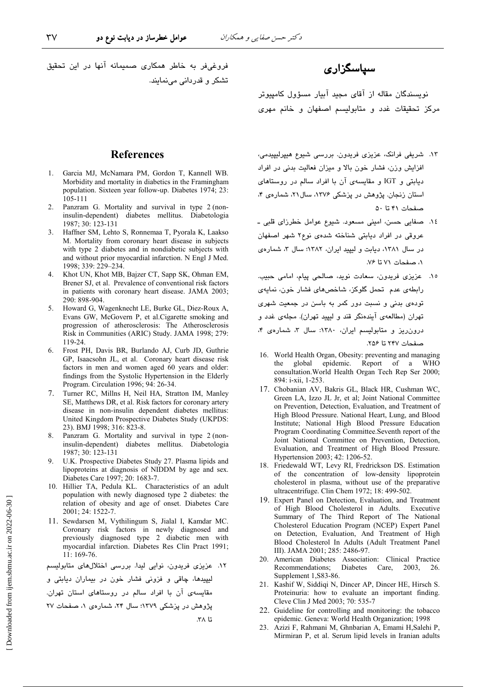فروغی فر به خاطر همکاری صمیمانه آنها در این تحقیق

تشکر و قدر دانی می نمایند.

### سیاسگزاری

نویسندگان مقاله از آقای مجید آبیار مسؤول کامپیوتر مرکز تحقیقات غدد و متابولیسم اصفهان و خانم مهری

#### **References**

- Garcia MJ, McNamara PM, Gordon T, Kannell WB. 1. Morbidity and mortality in diabetics in the Framingham population. Sixteen year follow-up. Diabetes 1974; 23: 105-111
- 2. Panzram G. Mortality and survival in type 2 (noninsulin-dependent) diabetes mellitus. Diabetologia 1987; 30: 123-131
- 3. Haffner SM, Lehto S, Ronnemaa T, Pyorala K, Laakso M. Mortality from coronary heart disease in subjects with type 2 diabetes and in nondiabetic subjects with and without prior myocardial infarction. N Engl J Med. 1998; 339: 229-234.
- $\overline{4}$ Khot UN, Khot MB, Bajzer CT, Sapp SK, Ohman EM, Brener SJ, et al. Prevalence of conventional risk factors in patients with coronary heart disease. JAMA 2003: 290: 898-904.
- 5. Howard G, Wagenknecht LE, Burke GL, Diez-Roux A, Evans GW, McGovern P, et al.Cigarette smoking and progression of atherosclerosis: The Atherosclerosis Risk in Communities (ARIC) Study. JAMA 1998; 279: 119-24
- 6. Frost PH, Davis BR, Burlando AJ, Curb JD, Guthrie GP, Isaacsohn JL, et al. Coronary heart disease risk factors in men and women aged 60 years and older: findings from the Systolic Hypertension in the Elderly Program. Circulation 1996; 94: 26-34.
- $7_{\scriptscriptstyle{\ddots}}$ Turner RC, Millns H, Neil HA, Stratton IM, Manley SE, Matthews DR, et al. Risk factors for coronary artery disease in non-insulin dependent diabetes mellitus: United Kingdom Prospective Diabetes Study (UKPDS: 23). BMJ 1998; 316: 823-8.
- Panzram G. Mortality and survival in type 2 (non- $\mathcal{R}$ insulin-dependent) diabetes mellitus. Diabetologia 1987; 30: 123-131
- $\mathbf{Q}$ U.K. Prospective Diabetes Study 27. Plasma lipids and lipoproteins at diagnosis of NIDDM by age and sex. Diabetes Care 1997; 20: 1683-7.
- 10. Hillier TA, Pedula KL. Characteristics of an adult population with newly diagnosed type 2 diabetes: the relation of obesity and age of onset. Diabetes Care 2001; 24: 1522-7.
- 11. Sewdarsen M, Vythilingum S, Jialal I, Kamdar MC. Coronary risk factors in newly diagnosed and previously diagnosed type 2 diabetic men with myocardial infarction. Diabetes Res Clin Pract 1991;  $11:169-76.$

١٢. عزیزی فریدون، نوایی لیدا. بررسی اختلالهای متابولیسم

ليپيدها، ڇاقي و فزوني فشار خون در بيماران ديابتي و مقایسهی آن با افراد سالم در روستاهای استان تهران. پژوهش در پزشکی ۱۳۷۹؛ سال ۲۴، شمارهی ۱، صفحات ۲۷ تا ۲۸.

- ١٣. شریفی فرانک، عزیزی فریدون. بررسی شیوع هیپرلیپیدمی، افزایش وزن، فشار خون بالا و میزان فعالیت بدنی در افراد دیابتی و IGT و مقایسهی آن با افراد سالم در روستاهای استان زنجان. پژوهش در پزشکی ۱۳۷۶، سال۲۱، شمارهی ۴، صفحات ۴۱ تا ۵۰
- ١٤. صفايي حسن، اميني مسعود. شيوع عوامل خطرزاي قلبي ـ عروقی در افراد دیابتی شناخته شدهی نوع۲ شهر اصفهان در سال ۱۳۸۱، دیابت و لیپید ایران، ۱۳۸۲؛ سال ۳، شمارهی ١، صفحات ٧١ تا ٧۶.
- ١٥. عزيزي فريدون، سعادت نويد، صالحي پيام، امامي حبيب. رابطهی عدم تحمل گلوکز، شاخصهای فشار خون، نمایهی تودهی بدنی و نسبت دور کمر به باسن در جمعیت شهری تهران (مطالعهی آیندهنگر قند و لیپید تهران). مجلهی غدد و درون ریز و متابولیسم ایران، ١٣٨٠: سال ٣، شمارهی ۴، صفحات ٢۴٧ تا ٢٥۶.
- 16. World Health Organ, Obesity: preventing and managing the global epidemic. Report of a WHO consultation. World Health Organ Tech Rep Ser 2000; 894: i-xii, 1-253.
- 17. Chobanian AV, Bakris GL, Black HR, Cushman WC, Green LA, Izzo JL Jr, et al; Joint National Committee on Prevention, Detection, Evaluation, and Treatment of High Blood Pressure. National Heart, Lung, and Blood Institute; National High Blood Pressure Education Program Coordinating Committee.Seventh report of the Joint National Committee on Prevention, Detection, Evaluation, and Treatment of High Blood Pressure. Hypertension 2003; 42: 1206-52.
- 18. Friedewald WT, Levy RI, Fredrickson DS. Estimation of the concentration of low-density lipoprotein cholesterol in plasma, without use of the preparative ultracentrifuge. Clin Chem 1972; 18: 499-502.
- 19. Expert Panel on Detection, Evaluation, and Treatment of High Blood Cholesterol in Adults. Executive Summary of The Third Report of The National Cholesterol Education Program (NCEP) Expert Panel on Detection, Evaluation, And Treatment of High Blood Cholesterol In Adults (Adult Treatment Panel III). JAMA 2001; 285: 2486-97.
- 20. American Diabetes Association: Clinical Practice Diabetes Care. Recommendations; 2003. 26. Supplement 1, S83-86.
- 21. Kashif W, Siddigi N, Dincer AP, Dincer HE, Hirsch S. Proteinuria: how to evaluate an important finding. Cleve Clin J Med 2003; 70: 535-7
- 22. Guideline for controlling and monitoring: the tobacco epidemic. Geneva: World Health Organization; 1998
- 23. Azizi F, Rahmani M, Ghnbarian A, Emami H, Salehi P, Mirmiran P, et al. Serum lipid levels in Iranian adults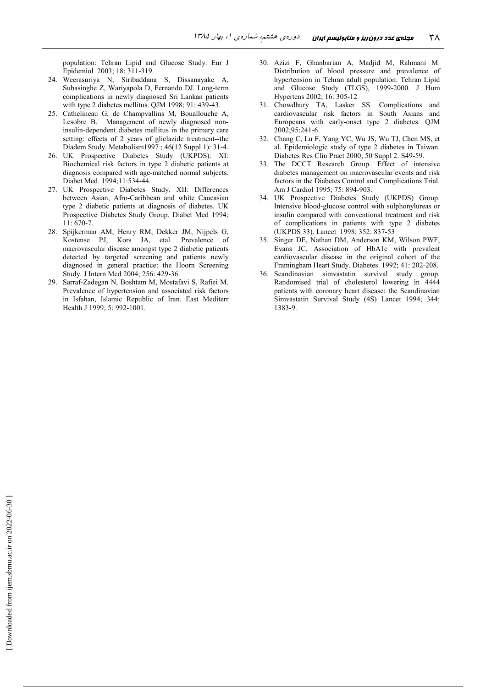population: Tehran Lipid and Glucose Study. Eur J Epidemiol 2003; 18: 311-319.

- 24. Weerasuriya N, Siribaddana S, Dissanayake A, Subasinghe Z, Wariyapola D, Fernando DJ. Long-term complications in newly diagnosed Sri Lankan patients with type 2 diabetes mellitus. QJM 1998; 91: 439-43.
- 25. Cathelineau G, de Champvallins M, Bouallouche A, Lesobre B. Management of newly diagnosed noninsulin-dependent diabetes mellitus in the primary care setting: effects of 2 years of gliclazide treatment--the Diadem Study. Metabolism1997; 46(12 Suppl 1): 31-4.
- $26$ UK Prospective Diabetes Study (UKPDS). XI: Biochemical risk factors in type 2 diabetic patients at diagnosis compared with age-matched normal subjects. Diabet Med. 1994;11:534-44.
- 27. UK Prospective Diabetes Study. XII: Differences between Asian, Afro-Caribbean and white Caucasian type 2 diabetic patients at diagnosis of diabetes. UK Prospective Diabetes Study Group. Diabet Med 1994;  $11:670-7.$
- 28. Spijkerman AM, Henry RM, Dekker JM, Nijpels G, Kostense PJ, Kors JA, etal. Prevalence of macrovascular disease amongst type 2 diabetic patients detected by targeted screening and patients newly diagnosed in general practice: the Hoorn Screening Study. J Intern Med 2004; 256: 429-36.
- 29. Sarraf-Zadegan N, Boshtam M, Mostafavi S, Rafiei M. Prevalence of hypertension and associated risk factors in Isfahan, Islamic Republic of Iran. East Mediterr Health J 1999; 5: 992-1001.
- 30. Azizi F, Ghanbarian A, Madjid M, Rahmani M. Distribution of blood pressure and prevalence of hypertension in Tehran adult population: Tehran Lipid and Glucose Study (TLGS), 1999-2000. J Hum Hypertens 2002; 16: 305-12
- 31. Chowdhury TA, Lasker SS. Complications and cardiovascular risk factors in South Asians and Europeans with early-onset type 2 diabetes. OJM 2002;95:241-6.
- 32. Chang C, Lu F, Yang YC, Wu JS, Wu TJ, Chen MS, et al. Epidemiologic study of type 2 diabetes in Taiwan. Diabetes Res Clin Pract 2000; 50 Suppl 2: S49-59.
- 33. The DCCT Research Group. Effect of intensive diabetes management on macrovascular events and risk factors in the Diabetes Control and Complications Trial. Am J Cardiol 1995; 75: 894-903.
- 34. UK Prospective Diabetes Study (UKPDS) Group. Intensive blood-glucose control with sulphonylureas or insulin compared with conventional treatment and risk of complications in patients with type 2 diabetes (UKPDS 33). Lancet 1998; 352: 837-53
- 35. Singer DE, Nathan DM, Anderson KM, Wilson PWF, Evans JC. Association of HbA1c with prevalent cardiovascular disease in the original cohort of the Framingham Heart Study. Diabetes 1992; 41: 202-208.
- 36. Scandinavian simvastatin survival study group. Randomised trial of cholesterol lowering in 4444 patients with coronary heart disease: the Scandinavian Simvastatin Survival Study (4S) Lancet 1994; 344: 1383-9.